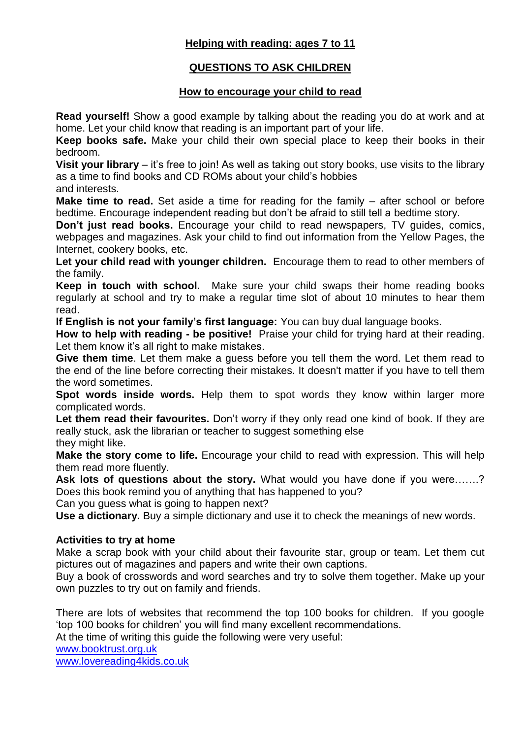## **Helping with reading: ages 7 to 11**

## **QUESTIONS TO ASK CHILDREN**

## **How to encourage your child to read**

**Read yourself!** Show a good example by talking about the reading you do at work and at home. Let your child know that reading is an important part of your life.

**Keep books safe.** Make your child their own special place to keep their books in their bedroom.

**Visit your library** – it's free to join! As well as taking out story books, use visits to the library as a time to find books and CD ROMs about your child's hobbies

and interests.

**Make time to read.** Set aside a time for reading for the family – after school or before bedtime. Encourage independent reading but don't be afraid to still tell a bedtime story.

**Don't just read books.** Encourage your child to read newspapers, TV guides, comics, webpages and magazines. Ask your child to find out information from the Yellow Pages, the Internet, cookery books, etc.

**Let your child read with younger children.** Encourage them to read to other members of the family.

**Keep in touch with school.** Make sure your child swaps their home reading books regularly at school and try to make a regular time slot of about 10 minutes to hear them read.

**If English is not your family's first language:** You can buy dual language books.

**How to help with reading - be positive!** Praise your child for trying hard at their reading. Let them know it's all right to make mistakes.

**Give them time**. Let them make a guess before you tell them the word. Let them read to the end of the line before correcting their mistakes. It doesn't matter if you have to tell them the word sometimes.

**Spot words inside words.** Help them to spot words they know within larger more complicated words.

Let them read their favourites. Don't worry if they only read one kind of book. If they are really stuck, ask the librarian or teacher to suggest something else they might like.

**Make the story come to life.** Encourage your child to read with expression. This will help them read more fluently.

**Ask lots of questions about the story.** What would you have done if you were…….? Does this book remind you of anything that has happened to you?

Can you guess what is going to happen next?

**Use a dictionary.** Buy a simple dictionary and use it to check the meanings of new words.

## **Activities to try at home**

Make a scrap book with your child about their favourite star, group or team. Let them cut pictures out of magazines and papers and write their own captions.

Buy a book of crosswords and word searches and try to solve them together. Make up your own puzzles to try out on family and friends.

There are lots of websites that recommend the top 100 books for children. If you google 'top 100 books for children' you will find many excellent recommendations.

At the time of writing this guide the following were very useful:

[www.booktrust.org.uk](http://www.booktrust.org.uk/)

[www.lovereading4kids.co.uk](http://www.lovereading4kids.co.uk/)